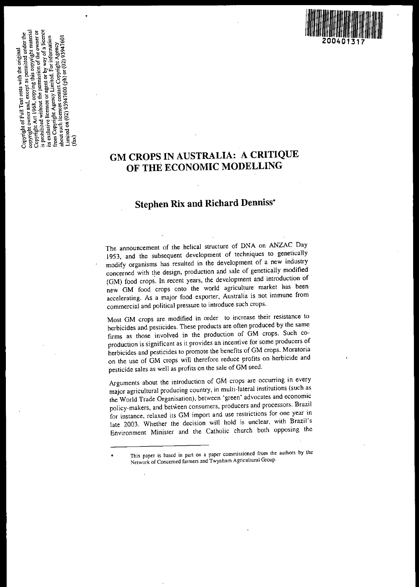

# **GM CROPS IN AUSTRALIA: A CRITIQUE OF THE ECONOMIC MODELLING**

# **Stephen Rix and Richard Denniss'**

The announcement of the helical structure of DNA on ANZAC Day 1953, and the subsequent development of techniques to genetically modify organisms has resulted in the development of a new industry concerned with the design, production and sale of genetically modified (GM) food crops. In recent years, the development and introduction of new GM food crops onto the world agriculture market has been **accelerating. As a major food exporter, Australia is not immune from commercial and political pressure to introduce such crops.**

**Most GM crops are. modified in order to increase their resistance to** herbicides and pesticides. These products are often produced by the same firms as those involved in the production of GM crops. Such co**production is significant as it provides an incentive for some producers of** herbicides and pesticides to promote the benefits of GM crops. Moratoria on the use of GM crops will therefore reduce profits on herbicide and pesticide sales as well as profits on the sale of GM seed.

Arguments about the introduction of GM crops are occurring in every major agricultural producing country, in multi-lateral institutions (such as **the World Trade Organisation), between 'green' advocates and economic policy-makers, and between consumers, producers and processors. Brazil for instance, relaxed its GM import and use restrictions for one year in** late 2003. Whether the decision will hold is unclear, with Brazil's Environment Minister and the Catholic church both opposing the

<sup>•</sup> **This paper is based in part on <sup>a</sup> paper commissioned from the authors by the Nelwork of Concerned farmers and Twynham Agricultural Group,**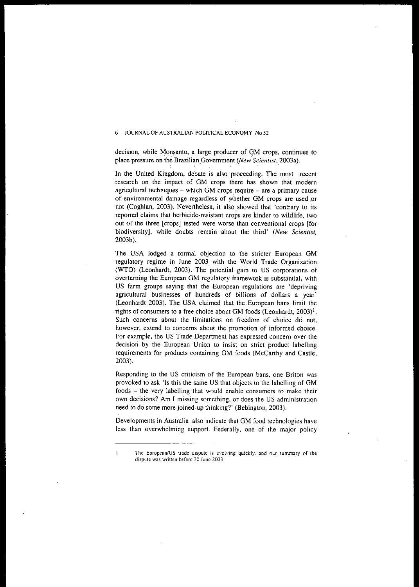decision, while Monsanto, a large producer of GM crops, continues to **place <b>place pressure** on the Brazilian POLITICAL ECONOMY No 52<br>decision, while Monsanto, a large producer of GM crops, continues to<br>place pressure on the Brazilian Government *(New Scientist*, 2003a).<br>In the United Kin

research on the impact of GM crops there has shown that modern **agricultural techniques - which GM crops,require - are a primary cause of environmental damage regardless of whether GM crops are used ,or** not (Coghlan, 2003). Nevertheless, it also showed that 'contrary to its reported claims that herbicide-resistant crops are kinder to wildlife, two out of the three [crops] tested were worse than conventional crops [for biodiversity], while doubts remain about the third' (New Scientist, 2003b).

The USA lodged a formal objection to the stricter European GM regulatory regime in June 2003 with the World Trade Organization (WTO) (Leonhardt, 2003). The potential gain to US corporations of **overturning the European GM regulatory framework is substantial, with** US farm groups saying that the European regulations are 'depriving agricultural businesses of hundreds of billions of dollars a year' (Leonhardt 2003). The USA claimed that the.European bans limit the rights of consumers to a free choice about GM foods (Leonhardt,  $2003$ )<sup>1</sup>. **Such concerns about the limitations on freedom of choice do not, however, extend to concerns about the promotion of informed choice. For example, the US Trade Department has expressed concern over the** decision by the European Union to insist on strict product labelling requirements for products containing GM foods (McCarthy and Castle, 2003).

**Responding to the US criticism of the European bans, one Briton was** provoked to ask 'Is this the same US that objects to the labelling of GM foods - the very labelling that would enable consumers to make their **own decisions? Am I missing something, or does the US administration** need to do some more joined-up thinking?' (Bebington, 2003).

Developments in Australia also indicate that GM food technologies have less than overwhelming support. Federally, one of the major policy

 $\mathbf{1}$ 

**The European/US trade dispute is evolving quickly, and our summary of the Jispute was written before 30 June 2003**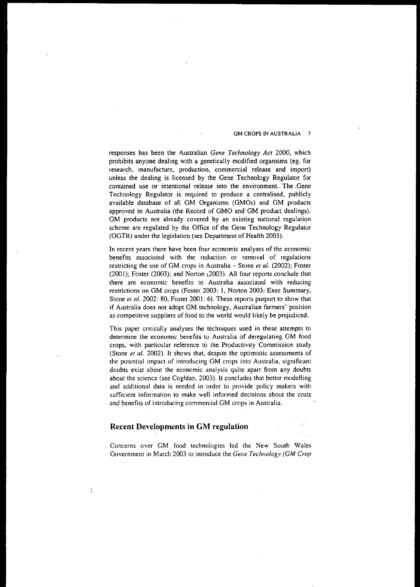responses has been the Australian *Gene Technology Acr 2000,* which prohibits anyone dealing with a genetically modified organisms (eg. for **research, manufacture, production. commercial release and import)** unless the dealing is licensed by the Gene Technology Regulator for **contained use or intentional release into the environment.. The,qene** Technology Regulator is required to produce a centralised, publicly available database of all GM Organisms (GMOs) and GM products approved in Australia (the Record of GMO and'GM product dealings). **GM products not already covered by an existing national regulatiqn** scheme are regulated by the Office of the Gene Technology Regulator (OGTR) under the legislation (see Department of Health 2003).

**In recent years there have been four economic analyses of the economic** benefits associated with the reduction or removal of regulations restricting the use of GM crops in Australia - Stone et al. (2002); Foster (2001); Foster (2003); and Norton \2003). All-four reports conclude that **there are economic benefits to Australia associated with reducing** restrictions on GM crops (Foster 2003: I, Norton 2003: Exec Summary, Stone *et al.* 2002: 80, Foster 2001: 6). These reports purport to show that **if Australia does-not adopt GM technology, Australian farmers' 'position** as competitive suppliers of food to the world would likely be prejudiced.

This paper critically analyses the techniques used in these attempts to **determine the economic benefits to Australia of deregulating GM food crops; with particular reference to the Productivity Commission study** (Stone *et al.* 2002). It shows that, despite the optimistic assessments of **the potential impact of introducing GM crops into Australia, significant** doubts exist about the economic analysis quite apart from any doubts about the science (see Coghlan, 2003). It concludes that better modelling and additional data is needed in order to provide policy makers with **sufficient information to make weii informed decisions about the costs and benefits of introducing commercial GM crops in Australia.**

# **Recent Developments in GM regulation**

Concerns over GM food technologies led the New South Wales Government in March 2003 to introduce the *Gene Technology (GM Crop*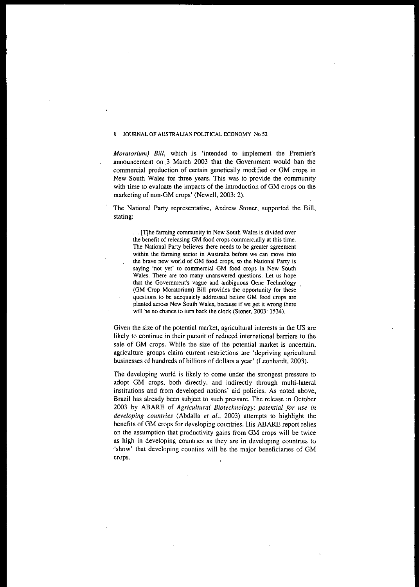*Moratorium) Bill,* which ,is 'intended to implement the Premier's announcement on ,3 March 2003 that the Government would ban the commercial production of certain genetically modified or GM crops in New South Wales for three years. This was to provide the community **with time to evaluate the impacts of the introduction of GM crops on the** marketing of non-GM crops' (Newell, 2003: 2).

The National Party representative, Andrew Stoner, supported the Bill, stating:

... [T]he farming community in New South Wales is divided over **the benefit of releasing GM food crops commercially at this time. The National Party believes there needs to be greater agreement within the farming sector in Australia before we can move into the brave new world of GM food crops, so the National Party is saying 'not yet' to commercial GM food crops in New South Wales. There are too many unanswered questions. Let us hope that the Government's vague and ambiguous Gene Technology (GM Crop Moratorium) Bill provides the opportunity for these questions to be adequately addressed before GM food crops are planted across New South Wales, because if we get it wrong there** will be no chance to turn back the clock (Stoner, 2003: 1534).

Given the size of the potential market, agricultural interests in the US are likely to continue in their pursuit of reduced international barriers to the sale of GM crops. While the size of the potential market is uncertain, **agriculture groups claim current restrictions are 'depriving agricultural** businesses of hundreds of billions of dollars a year' (Leonhardt, 2003).

The developing world is likely to come under the strongest pressure to adopt GM crops, both directly, and indirectly through multi-lateral institutions and from developed nations' aid policies. As noted above, Brazil has already been subject to such pressure. The release in October 2003 by ABARE of *Agricultural Biotechnology: potential for use in developing countries* (Abdalla *et al.,* 2003) attempts to highlight the benefits of GM crops for developing countries. His ABARE report relies on the assumption that productivity gains from GM crops will be twice **as high in developing countries as they are in developing countries to** 'show' that developing counties will be the major beneficiaries of GM **crops.**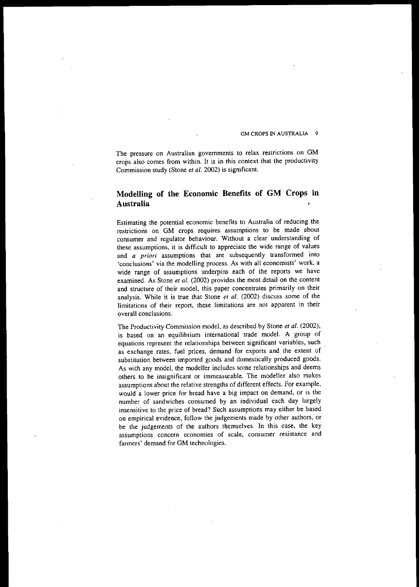**The pressure on Australian governments to relax restrictions on GM** crops also comes from within. It is in this context that the productivity Commission study (Stone *et al.* 2002) is significant.

# **Modelling of the Economic Benefits of GM Crops in Australia**

Estimating the potential economic benefits to Australia of reducing the **restrictions on GM crops requires assumptions to be made about** consumer and regulator behaviour. Without a clear understanding of **these assumptions, it is difficult to appreciate the wide range of values and** *a priori* **assumptions that are subsequently transformed into 'conclusions' via the modelling process. As with all economists' work, a** wide range of assumptions underpins each of the reports we have examined. As Stone *et al.* (2002) provides the most detail on the content **and structure of their model, this paper concentrates primarily on their** analysis. While it is true that Stone *et al.* (2002) discuss some of the **limitations of their report, these limitations are not apparent in their overall conclusions.**

The Productivity Commission model, as described by Stone *et al. (2002),* is based on an equilibrium international trade model. A group of **equations represent the relationships between significant variables, such** as exchange rates, fuel prices, demand for exports and the extent of substitution between imported goods and domestically produced goods. As with any model, the modeller includes some relationships and deems **others to be insignificant or immeasurable. The modeller also makes** assumptions about the relative strengths of different effects. For example, would a lower price for bread have a big impact on demand, or is the number of sandwiches consumed by an individual each day. largely insensitive to the price of bread? Such assumptions may either be based on empirical evidence, follow the judgements made by other authors, or be the judgements of the authors themselves. In this case, the key **assumptions concern economies of scale, consumer resistance and** farmers' demand for GM technologies.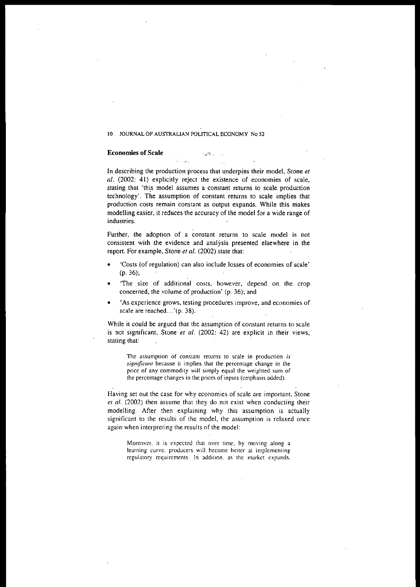# Economies of Scale *and*  $\mathcal{L}$

**In describing the production process that underpins their model, Stone** *et al.* (2002: 41) explicitly reject the existence of economies of scale, **stating that 'thi.s model assumes a constant returns to scale production** technology'. The assumption of constant returns to scale implies that **production costs remain constant as output expands. While this makes** modelling easier, it reduces the accuracy of the model for a wide range of **industries.**

 $\ddotsc$ 

**Further, the adoption of a constant returns to scale model is not consistent with the evidence and analysis presented elsewhere in the** report. For example, Stone et al. (2002) state that:

- **• 'Costs (of regulation) can also include losses of economies of scale'** (p. 36);
- **• 'The size of additional costs, however. depend on the crop** concerned, the volume of production' (p. 36); and
- **• 'As experience grows, testing procedures improve, and economies of** scale are reached...'(p. 38).

**While it could be argued that the assumption of constant returns to scale** is not significant, Stone et al. (2002: 42) are explicit in their views, **stating that:**

**The assumption of constant returns to scale in production** *is sigllijicall1* **because it implies that the percentage change in the price of any commodity will simply equal the weighted sum of the percentage changes in the prices of inputs (emphasis added).**

**Having set out the case for why economies of scale are important, Stone** *et al.* (2002) then assume that they do not exist when conducting their modelling. After then explaining why this assumption is actually **significant to the results of the model, the assumption is relaxed once again when interpreting the results of the model:**

**Moreover. it is expected that over time. by moving along a learning curve, producers will become hetter at implementing regulatory requirements. In addition. as the market expands.**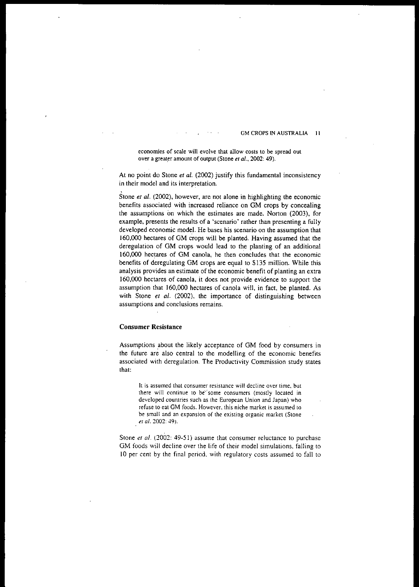**economies of scale will evolve that allow costs to be spread out over** a greater amount of output (Stone *et al.*, 2002: 49).

At no point do Stone *et al.* (2002) justify this fundamental inconsistency **in their model and its interpretation.**

Stone *et al.* (2002), however, are not alone in highlighting the economic benefits associated with increased reliance on GM crops by concealing the assumptions on which the estimates are made. Norton (2003), for **example. presents the results of a 'scenario' rather than presenting a fully** developed economic model. He bases his scenario on the assumption that 160,000 hectares of GM crops will be planted. Having assumed that the deregulation of GM crops would lead to the planting of an additional 160,000 hectares of GM canola, he then concludes that the economic benefits of deregulating GM crops are equal to \$135 million. While this **analysis provides an estimate of the economic benefit of planting an extra** 160,000 hectares of canola, it does not provide evidence to support the assumption that 160,000 hectares of canola will, in fact, be planted. As with Stone *et al.* (2002), the importance of distinguishing between **assumptions and conclusions remains.**

### **Consumer Resistance**

Assumptions about the likely acceptance of GM food by consumers in **the future are also central to the modelling of the economic benefits associated with deregulation. The Productivity Commission study states** that:

**It is assumed that consumer resistance will decline over time. but there will continue to** be'" **some consumers (mostly located in developed countries such as the European Union and Japan) who refuse to eat GM foods. However. this niche market is assumed to be small and an expansion of the existing organic market (Stone** *et al.* **2002: 49).**

Stone *et al.* (2002: 49-51) assume that consumer reluctance to purchase **GM foods will decline over the life of their model simulations. falling to** 10 per cent by the final period. with regulatory costs assumed to fall to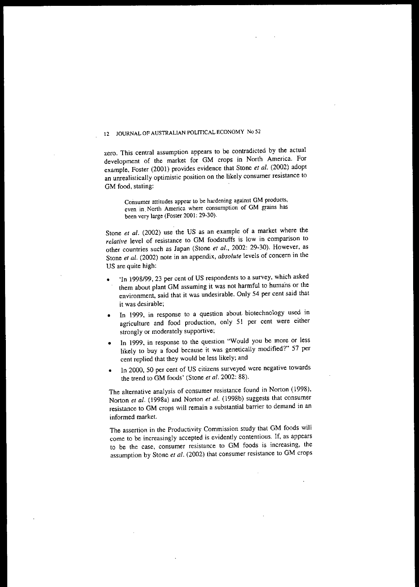zero. This central assumption appears to be contradicted by the actual development of the market for GM crops in North America. For example, Foster (2001) provides evidence that Stone *et al.* (2002) adopt **an unrealistically optimistic position on the likely consumer resistance to** GM food, stating:

> **Consumer attitudes appear to be hardening against GM products, even in. North America where consumption of GM g!ains has** been very large (Foster 2001: 29-30).

Stone *et al.* (2002) use the US as an example of a market where the *relative* level of resistance to GM foodstuffs is low in comparison to other countries such as Japan (Stone *et al.,* 2002: 29-30). However, as Stone *et al.* (2002) note in an appendix, *absolute* levels of concern in the US are quite high:

- 'In 1998/99,23 per cent of US respondents to a survey, which asked them about plant GM assuming it was not harmful to humans or the environment, said that it was undesirable. Only 54 per cent said that **it was desirable;**
- In 1999, in response to a question about biotechnology used in agriculture and food production, only 51 per cent were either strongly or moderately supportive;
- In 1999, in response to the question "Would you be more or less likely to buy a food because it was genetically modified?" 57 per cent replied that they would be less likely; and
- In 2000, 50 per cent of US citizens surveyed were negative towards the trend to GM foods' (Stone *et al.* 2002: 88).

The alternative analysis of consumer resistance found in Norton (1998), Norton *et al.* (1998a) and Norton *et al.* (1998b) suggests that consumer **resistance to GM crops will remain a substantial barrier to demand in an informed market.**

The assertion in the Productivity Commission study that GM foods will **come to be increasingly accepted is evidently contentious. If. as appears to be the case, consumer resistance to GM foods is increasing, the** assumption by Stone *et al.* (2002) that consumer resistance to GM crops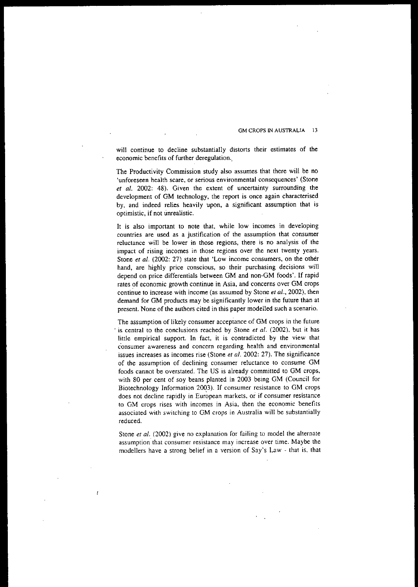**will continue to decline substantially distorts their estimates of the** economic benefits of further deregulation..

The Productivity Commission study also assumes that there will be no **'unforeseen health scare, or serious environmental consequences' (Stone** *et al.* 2002: 48). Given the extent of uncertainty surrounding the development of GM technology, the report is once again characterised by, and indeed relies heavily upon, a significant assumption that is **optimistic, if not unrealistic.**

It is also important to note that, while low incomes in developing **countries are used as a justification of the assumption that consumer reluctance will be lower in those regions, there is no analysis of the impact of rising incomes in those regions over the next twenty years.** Stone *et al.* (2002: 27) state that 'Low income consumers, on the other hand, are highly price conscious, so their purchasing decisions will depend on price differentials between GM and non-GM foods'. If rapid rates of economic growth continue in Asia, and concerns over GM crops **continue to increase with income (as assumed by Stone** *et al.,* **2002), then** demand for GM products may be significantly lower in the future than at **present. None of the authors cited in this paper modelled such a scenario.**

The assumption of likely consumer acceptance of GM crops in the future is central to the conclusions reached by Stone *et al.* (2002), but it has **little empirical support. In fact, it is contradicted by the view that c'onsumer awareness and concern regarding health and environmental** issues increases as incomes rise (Stone *et al.* 2002: 27). The significance of the assumption of declining consumer reluctance to consume GM foods cannot be overstated. The US is already committed to GM crops, with 80 per cent of soy beans planted in 2003 being GM (Council for Biotechnology Information 20Q3). If consumer resistance to GM crops **does not decline rapidly in European markets, Of if consumer resistance to GM crops rises with incomes in Asia, then the economic benefits associated with switching to GM crops in Australia will be substantially reduced.**

**Stone** *et al.* **(2002) give no explanation for failing to model the alternate assumption" that consumer resistance may increase over time. Maybe the modellers have a strong belief in a version of Say's Law - that is, that**

 $\frac{1}{2}$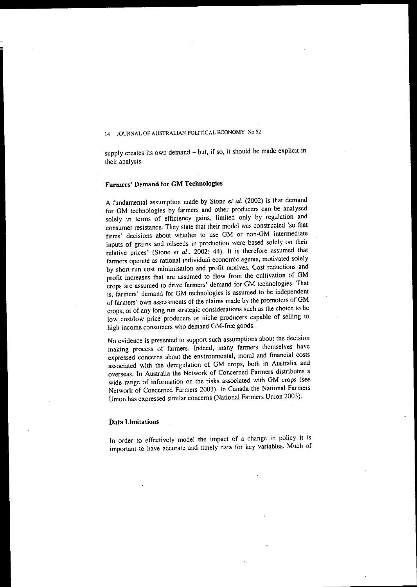supply creates its own demand - but, if so, it should be made explicit in their analysis.

# Farmers' Demand for GM Technologies

=

A fundamental assumption made by Stone *et al.* (2002) is that demand for GM technologies by farmers and other producers can be analysed solely in terms of efficiency gains, limited only by regulation and consumet resistance. They state that their model was constructed 'so that **firms' decisions about whether to use GM or non-GM intermediate** inputs of grains and oilseeds in production were based solely on their relative prices' (Stone *et al.,* 2002: 44). It is therefore assumed that **farmers operate as rational individual economic agents, motivated solely by shoft-run cost minimisation and profit motives. Cost reductions and** profit increases that are assumed to flow from the cultivation of GM crops are assumed to drive farmers' demand for GM technologies. That is, farmers' demand for GM technologies is assumed to be independent of farmers' own assessments of the claims made by the promoters of GM **crops, or of any long run strategic considerations such as the choice to be** low cost/low price producers or niche producers capable of selling to high income consumers who demand GM-free goods.

**No evidence is presented to support such assumptions about the decision** making process of farmers. Indeed, many farmers themselves have **expressed concerns about the environmental, moral and financial costs** associated with the deregulation of GM crops, both in Australia and overseas. In Australia the Network of Concerned Farmers distributes a **wide range of information on the risks associated with GM crops (see** Network of Concerned Farmers 2003). In Canada the National Farmers Union has expressed similar concerns (National Farmers Union 2003).

# Data Limitations

In order to effectively model the impact of a change in policy it is important to have accurate and timely data for key variables. Much of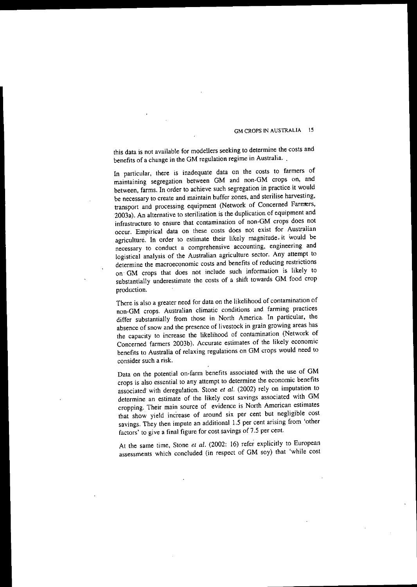this data is not available for modellers seeking to determine the costs and benefits of <sup>a</sup> change in the GM regulation regime in Australia..

In particular, there is inadequate data on the costs to farmers of maintaining segregation between GM and non-GM crops on, and between, farms. In order to achieve such segregation in practice it would **be necessary to create and maintain buffer zones, and sterilise harvesting,** transport and processing equipment (Network of Concerned Farmers, 2003a). An alternative to sterilisation is the duplication of equipment and **infrastructure to ensure that contamination of nonMGM crops does not occur.** Empirical data on these costs does not exist for Australian agriculture. In order to estimate their likely magnitude. it would be **necessary to conduct a comprehensive accounting, engineering and** logistical analysis of the Australian agriculture sector. Any attempt to **determine the macroeconomic costs and benefits of reducing restrictions** on GM crops that does not include such information is likely to substantially underestimate the costs of a shift towards GM food crop production.

There is also a greater need for data on the likelihood of contamination of **non-GM crops. Australian climatic conditions and farming practices** differ substantially from those in North America. In particular, the **absence of snow and the presence of livestock in grain growing areas has** the capacity to increase the likelihood of contamination (Network of Concerned farmers 2003b). Accurate estimates of the likely economic benefits to Australia of relaxing regulations on GM crops would need to **consider such a risk.**

Data on the potential on-farm benefits associated with the use of GM crops is also essential to any attempt to determine the economic benefits associated with deregulation. Stone *et al.* (2002) rely on imputation to determine an estimate of the likely cost savings associated with GM **cropping. Their main source of evidence is North American estimates** that show yield increase of around six per cent but negligible cost savings. They then impute an additional 1.5 per cent arising from 'other factors' to give a final figure for cost savings of 7.5 per cent.

At the same time, Stone *et al.* (2002: 16) refer explicitly to European assessments which concluded (in respect of GM soy) that 'while cost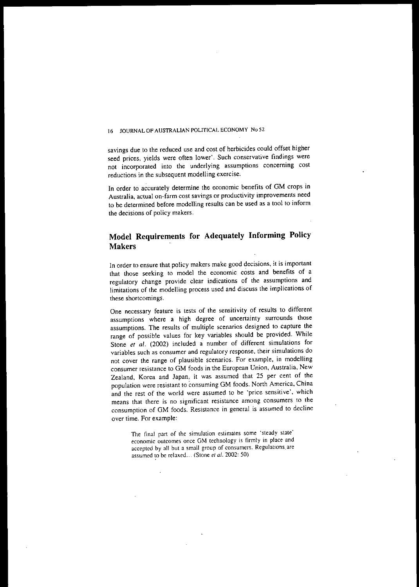savings due to the reduced use and cost of herbicides could offset higher seed prices, yields were often lower'. Such conservative findings were not incorporated into the underlying assumptions concerning cost reductions in the subsequent modelling exercise.

In order to accurately determine the economic benefits of GM crops in Australia, actual on-farm cost savings or productivity improvements need to be determined before modelling results can be used as a tool to inform the decisions of policy makers.

# Model Requirements for Adequately Informing Policy Makers

In order to ensure that policy makers make good decisions, it is important that those seeking to model the economic costs and benefits of a regulatory change provide clear indications of the assumptions and limitations of the modelling process used and discuss the implications of these shortcomings.

One necessary feature is tests of the sensitivity of results to different assumptions where a high degree of uncertainty surrounds those assumptions. The results of multiple scenarios designed to capture the range of possible values for key variables should be provided. While Stone *et al.* (2002) included a number of different simulations for variables such as consumer and regulatory response. their simulations do not cover the range of plausible scenarios. For example, in modelling consumer resistance to GM foods in "the European Union, Australia, New Zealand, Korea and Japan, it was assumed that 25 per cent of the population were resistant to consuming GM foods. North America, China and the rest of the world were assumed to be 'price sensitive', which means that there is no significant resistance among consumers to the consumption of GM foods. Resistance in general is assumed to decline over time. For example:

> The final part of the simulation estimates some 'steady state' economic outcomes once GM technology is firmly in place and accepted by all but a small group of consumers. Regulations.are assumed to be relaxed ... (Stone *et al.* 2002: 50)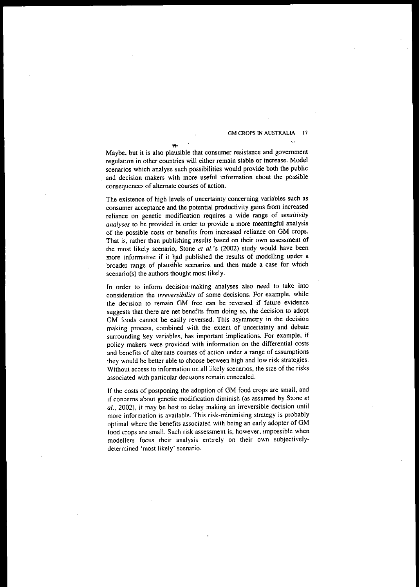Maybe, but it is also plausible that consumer resistance and government regul~tion **in other countries will either remain stable or increase. Model** scenarios which analyse such possibilities would provide both the public and decision makers with more useful information about the possible **consequences of alternate courses of action.**

 $(+)$ 

The existence of high levels of uncertainty concerning variables such as consumer acceptance and the potential productivity gains from increased **reliance on genetic modification requires a wide range of** *sensitivity analyses* **to be provided in order to provide a more meaningful analysis** of the possible costs or benefits from increased reliance on GM crops. That is, rather than publishing results based on their own assessment of the most likely scenario, Stone *et al.'s* (2002) study would have been broader range of plausible scenarios and then made a case for which scenario(s) the authors thought most likely.

In order to inform decision-making analyses also need to take into **consideration the** *irreversibility* **of some decisions. For example. while the decision to remain GM free can be reversed if future evidence** suggests that there are net benefits from doing so, the decision to adopt GM foods cannot be easily reversed. This asymmetry in the decision making process, combined with the extent of uncertainty and debate **surrounding key variables, has important implications. For example, if policy makers were provided with information on the differential costs and benefits of alternate courses of action under a range of assumptions** they would be better able to choose between high and low risk strategies. Without access to information on all likely scenarios, the size of the risks **associated with particular decisions remain concealed.**

If the costs of postponing the adoption of GM food crops are small, and **if concerns about genetic modification diminish (as assumed by Stone** *et al.,* 2002), it may be best to delay making an irreversible decision until **more information is available. This risk-minimising strategy is probably** optimal where the benefits associated with being an early adopter of GM **food crops are small. Such risk assessment is, however. impossible when modellers focus their analysis entirely on their own subjectively**determined 'most likely' scenario.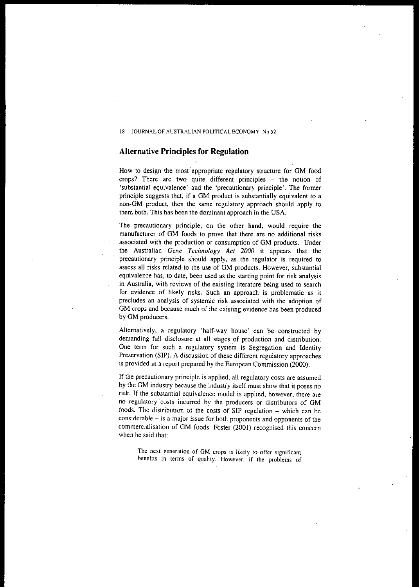# **Alternative Principles for Regulation**

How to design the most' appropriate regulatory structure for GM food crops? There are two quite different principles - the notion of 'substantial equivalence' and the 'precautionary principle'. The former principle suggests that, if a GM product is substantially equivalent to a non-GM product, then the same regulatory approach should apply to them both. This has been the dominant approach in the USA.

The precautionary principle, on the other hand, would require the manufacturer of GM foods to prove that there are no additional risks associated with the production or consumption of GM products. Under the Australian· *Gene Technology Act 2000* it appears that the precautionary principle should apply, as the regulator is required to assess all risks related to the use of GM products. However, substantial equivalence has, to date, been used as the starting point for risk analysis in Australia, with reviews of the existing literature being used to search for evidence of likely risks. Such an approach is problematic as it precludes an analysis of systemic risk associated with the adoption of GM crops and because much of the existing evidence has been produced by GM producers.

Alternatively, a regulatory 'half-way house' can be constructed by demanding full disclosure at all stages of production and distribution. One term for such a regulatory system is Segregation and Identity Preservation (SIP). A discussion of these different regulatory approaches is provided in a report prepared by the European Commission (2000).

If the precautionary principle is applied, all regulatory costs are assumed by the GM industry because the industiy itself must show that it poses no risk. If the substantial equivalence model is applied, however, there are no regulatory 'costs incurred by the producers or distributors of GM foods. The distribution of the costs of SIP regulation - which can be **considerable - is a major issue for both proponents and opponents of the** commercialisation of GM foods. Foster (2001) recognised this concern when he said that:

**The next generation of GM crops is likely to offer significant benefits in terms of qualily. However, if the problems of**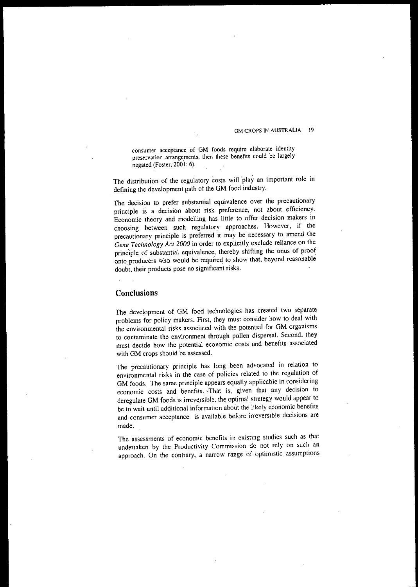**consumer acceptance of GM foods require elaborate identity preservation arrange.ments, then these benefits could be largely** negated (Foster, 2001: 6).

The distribution of the regulatory costs will play an important role in defining the development path of the GM food industry.

The decision to prefer substantial equivalence over the precautionary **principle is a decision about risk preference. not about efficiency.** Economic theory and modelling has little to offer decision makers in choosing between such regulatory approaches. However, if the **precautionary principle is preferred it may be necessary to amend the** *Gene Technology Act 2000* in order to explicitly exclude reliance on the principle of substantial equivalence, thereby shifting the onus of proof onto producers who would be required to show that, beyond reasonable doubt, their products pose no significant risks.

# **Conclusions**

The development of GM food technologies has created two separate problems for policy makers. First, they must consider how to deal with the environmental risks associated with the potential for GM organisms to contaminate the environment through pollen dispersal. Second, they must decide how the potential economic costs and benefits associated with GM crops should be assessed.

The precautionary principle has long been advocated in relation to **environmental risks in the case of policies related to the regulation of** GM foods. The same principle appears equally applicable in considering **economic costs and benefits. That is, given that any decision to** deregulate GM foods is irreversible, the optimal strategy would appear to be to wait until additional information about the likely economic benefits **and consumer acceptance is available before irreversible decisions are** made.

**The assessments of economic benefits in existing studies such as that undertaken by the Productivity Commission do not rely on such an approach. On the contrary, a narrow range of optimistic ass.umptions**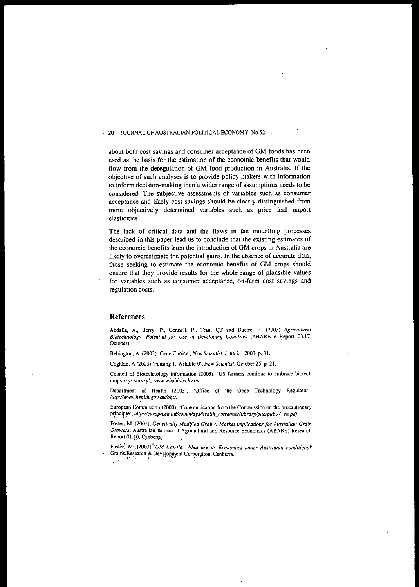about both cost savings and consumer acceptance of GM foods has been used as the basis for the estimation of the economic benefits that would flow from the deregulation of GM food production in Australia. If the objective of such analyses is to provide policy makers with information to inform decision-making then a wider range of assumptions needs to be **considered. The subjective assessments of variables such as consumer** acceptance and likely cost savings should be clearly distinguished from more objectively determined variables such as price and import **elasticities.**

The lack of critical data and the flaws in the modelling processes described in this paper lead us to conclude that the existing estimates of **the economic benefits from the introduction of GM crops in Australia are** likely to overestimate the potential gains. In the absence of accurate data, those seeking to estimate the economic benefits of GM crops should ensure that they provide results for the whole range of plausible values **for** variables such as consumer acceptance, on-farm cost savings and **regulation costs.**

# **References**

**Abdalla, A., Berry, P., Connell, P., Tran, QT and Buetre, B. (2003)** *Agricultural Biotechnology: Potential for Use ill Developing Countries* **(ABARE e** ~eport **03.17, OClober).**

**Bebington, A. (2003) 'Gene Choice',** *New Scientist,* **June 21, 2003, p. 31.**

**Coghlan, A (2003) 'Faming I, Wildlife 0',** *New Scientist,* **October 25, p. 21.**

**Council of Biotechnology information (2003), 'US fanners continue to embrace biolech crops says survey',** *www.whybiotechcom*

**Department of Health (2003), 'Office of the Gene Technology Regulator',** *http://www.he.alth.gov.au/ogtr/*

**European Commission (2000), 'Communication from (he Commission on the precautionary** principle', http://europa.eu.int/comm/dgs/health\_consumer/library/pub/pub07\_en.pdf

**Foster, M. (2001),** *Genetically Modified Grains: Market implications for Australian Grain Growers,* **"Australian Bureau of Agricultural and Resource Economics (ABARE) Research** Report 01.10, Canberra

Foste~·'M:,(2003),~'GM *Callola: What are its Economics under Australian conditions?* Grains.Research & Development Corporation, Canberra.